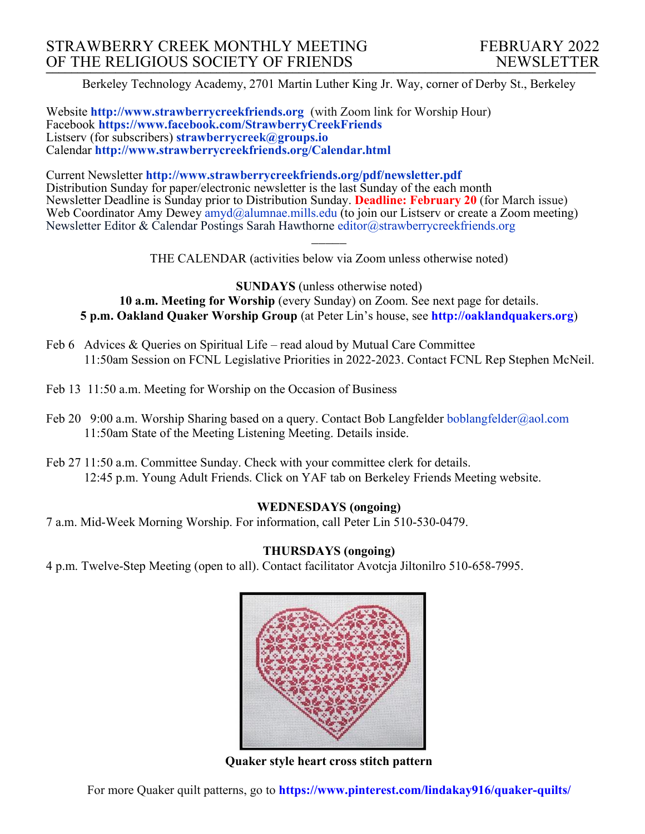Berkeley Technology Academy, 2701 Martin Luther King Jr. Way, corner of Derby St., Berkeley

Website **http://www.strawberrycreekfriends.org** (with Zoom link for Worship Hour) Facebook **https://www.facebook.com/StrawberryCreekFriends** Listserv (for subscribers) **strawberrycreek@groups.io** Calendar **http://www.strawberrycreekfriends.org/Calendar.html**

Current Newsletter **http://www.strawberrycreekfriends.org/pdf/newsletter.pdf** Distribution Sunday for paper/electronic newsletter is the last Sunday of the each month Newsletter Deadline is Sunday prior to Distribution Sunday. **Deadline: February 20** (for March issue) Web Coordinator Amy Dewey  $\frac{am\ddot{a}}{am\ddot{a}}$ alumnae.mills.edu (to join our Listserv or create a Zoom meeting) Newsletter Editor & Calendar Postings Sarah Hawthorne editor@strawberrycreekfriends.org

> $\overline{\phantom{a}}$ THE CALENDAR (activities below via Zoom unless otherwise noted)

**SUNDAYS** (unless otherwise noted) **10 a.m. Meeting for Worship** (every Sunday) on Zoom. See next page for details. **5 p.m. Oakland Quaker Worship Group** (at Peter Lin's house, see **http://oaklandquakers.org**)

- Feb 6 Advices & Queries on Spiritual Life read aloud by Mutual Care Committee 11:50am Session on FCNL Legislative Priorities in 2022-2023. Contact FCNL Rep Stephen McNeil.
- Feb 13 11:50 a.m. Meeting for Worship on the Occasion of Business
- Feb 20 9:00 a.m. Worship Sharing based on a query. Contact Bob Langfelder boblangfelder@aol.com 11:50am State of the Meeting Listening Meeting. Details inside.
- Feb 27 11:50 a.m. Committee Sunday. Check with your committee clerk for details. 12:45 p.m. Young Adult Friends. Click on YAF tab on Berkeley Friends Meeting website.

## **WEDNESDAYS (ongoing)**

7 a.m. Mid-Week Morning Worship. For information, call Peter Lin 510-530-0479.

## **THURSDAYS (ongoing)**

4 p.m. Twelve-Step Meeting (open to all). Contact facilitator Avotcja Jiltonilro 510-658-7995.



**Quaker style heart cross stitch pattern**

For more Quaker quilt patterns, go to **https://www.pinterest.com/lindakay916/quaker-quilts/**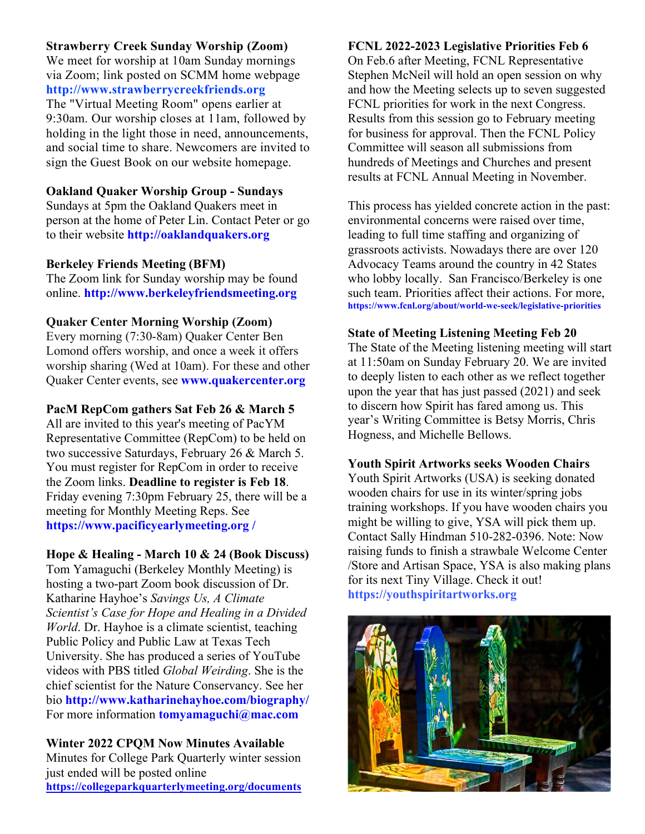## **Strawberry Creek Sunday Worship (Zoom)**

We meet for worship at 10am Sunday mornings via Zoom; link posted on SCMM home webpage **http://www.strawberrycreekfriends.org** The "Virtual Meeting Room" opens earlier at 9:30am. Our worship closes at 11am, followed by holding in the light those in need, announcements, and social time to share. Newcomers are invited to sign the Guest Book on our website homepage.

## **Oakland Quaker Worship Group - Sundays**

Sundays at 5pm the Oakland Quakers meet in person at the home of Peter Lin. Contact Peter or go to their website **http://oaklandquakers.org**

#### **Berkeley Friends Meeting (BFM)**

The Zoom link for Sunday worship may be found online. **http://www.berkeleyfriendsmeeting.org**

## **Quaker Center Morning Worship (Zoom)**

Every morning (7:30-8am) Quaker Center Ben Lomond offers worship, and once a week it offers worship sharing (Wed at 10am). For these and other Quaker Center events, see **www.quakercenter.org**

#### **PacM RepCom gathers Sat Feb 26 & March 5**

All are invited to this year's meeting of PacYM Representative Committee (RepCom) to be held on two successive Saturdays, February 26 & March 5. You must register for RepCom in order to receive the Zoom links. **Deadline to register is Feb 18**. Friday evening 7:30pm February 25, there will be a meeting for Monthly Meeting Reps. See **https://www.pacificyearlymeeting.org /**

## **Hope & Healing - March 10 & 24 (Book Discuss)**

Tom Yamaguchi (Berkeley Monthly Meeting) is hosting a two-part Zoom book discussion of Dr. Katharine Hayhoe's *Savings Us, A Climate Scientist's Case for Hope and Healing in a Divided World*. Dr. Hayhoe is a climate scientist, teaching Public Policy and Public Law at Texas Tech University. She has produced a series of YouTube videos with PBS titled *Global Weirding*. She is the chief scientist for the Nature Conservancy. See her bio **http://www.katharinehayhoe.com/biography/** For more information **tomyamaguchi@mac.com**

**Winter 2022 CPQM Now Minutes Available** Minutes for College Park Quarterly winter session just ended will be posted online **https://collegeparkquarterlymeeting.org/documents**

#### **FCNL 2022-2023 Legislative Priorities Feb 6**

On Feb.6 after Meeting, FCNL Representative Stephen McNeil will hold an open session on why and how the Meeting selects up to seven suggested FCNL priorities for work in the next Congress. Results from this session go to February meeting for business for approval. Then the FCNL Policy Committee will season all submissions from hundreds of Meetings and Churches and present results at FCNL Annual Meeting in November.

This process has yielded concrete action in the past: environmental concerns were raised over time, leading to full time staffing and organizing of grassroots activists. Nowadays there are over 120 Advocacy Teams around the country in 42 States who lobby locally. San Francisco/Berkeley is one such team. Priorities affect their actions. For more, **https://www.fcnl.org/about/world-we-seek/legislative-priorities**

## **State of Meeting Listening Meeting Feb 20**

The State of the Meeting listening meeting will start at 11:50am on Sunday February 20. We are invited to deeply listen to each other as we reflect together upon the year that has just passed (2021) and seek to discern how Spirit has fared among us. This year's Writing Committee is Betsy Morris, Chris Hogness, and Michelle Bellows.

#### **Youth Spirit Artworks seeks Wooden Chairs**

Youth Spirit Artworks (USA) is seeking donated wooden chairs for use in its winter/spring jobs training workshops. If you have wooden chairs you might be willing to give, YSA will pick them up. Contact Sally Hindman 510-282-0396. Note: Now raising funds to finish a strawbale Welcome Center /Store and Artisan Space, YSA is also making plans for its next Tiny Village. Check it out! **https://youthspiritartworks.org**

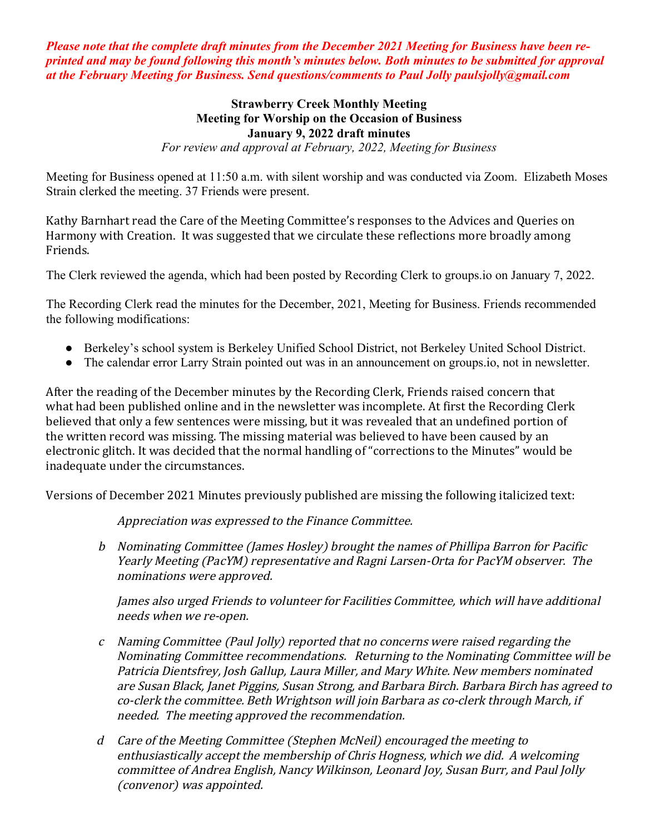*Please note that the complete draft minutes from the December 2021 Meeting for Business have been reprinted and may be found following this month's minutes below. Both minutes to be submitted for approval at the February Meeting for Business. Send questions/comments to Paul Jolly paulsjolly@gmail.com*

#### **Strawberry Creek Monthly Meeting Meeting for Worship on the Occasion of Business January 9, 2022 draft minutes** *For review and approval at February, 2022, Meeting for Business*

Meeting for Business opened at 11:50 a.m. with silent worship and was conducted via Zoom. Elizabeth Moses Strain clerked the meeting. 37 Friends were present.

Kathy Barnhart read the Care of the Meeting Committee's responses to the Advices and Queries on Harmony with Creation. It was suggested that we circulate these reflections more broadly among Friends.

The Clerk reviewed the agenda, which had been posted by Recording Clerk to groups.io on January 7, 2022.

The Recording Clerk read the minutes for the December, 2021, Meeting for Business. Friends recommended the following modifications:

- Berkeley's school system is Berkeley Unified School District, not Berkeley United School District.
- The calendar error Larry Strain pointed out was in an announcement on groups.io, not in newsletter.

After the reading of the December minutes by the Recording Clerk, Friends raised concern that what had been published online and in the newsletter was incomplete. At first the Recording Clerk believed that only a few sentences were missing, but it was revealed that an undefined portion of the written record was missing. The missing material was believed to have been caused by an electronic glitch. It was decided that the normal handling of "corrections to the Minutes" would be inadequate under the circumstances.

Versions of December 2021 Minutes previously published are missing the following italicized text:

Appreciation was expressed to the Finance Committee.

b Nominating Committee (James Hosley) brought the names of Phillipa Barron for Pacific Yearly Meeting (PacYM) representative and Ragni Larsen-Orta for PacYM observer. The nominations were approved.

James also urged Friends to volunteer for Facilities Committee, which will have additional needs when we re-open.

- $c$  Naming Committee (Paul Jolly) reported that no concerns were raised regarding the Nominating Committee recommendations. Returning to the Nominating Committee will be Patricia Dientsfrey, Josh Gallup, Laura Miller, and Mary White. New members nominated are Susan Black, Janet Piggins, Susan Strong, and Barbara Birch. Barbara Birch has agreed to co-clerk the committee. Beth Wrightson will join Barbara as co-clerk through March, if needed. The meeting approved the recommendation.
- d Care of the Meeting Committee (Stephen McNeil) encouraged the meeting to enthusiastically accept the membership of Chris Hogness, which we did. A welcoming committee of Andrea English, Nancy Wilkinson, Leonard Joy, Susan Burr, and Paul Jolly (convenor) was appointed.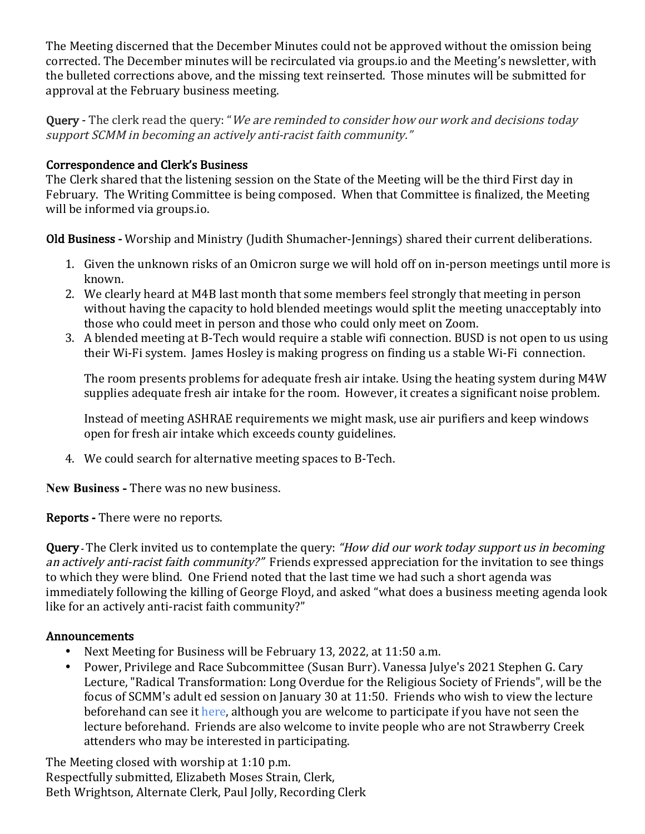The Meeting discerned that the December Minutes could not be approved without the omission being corrected. The December minutes will be recirculated via groups.io and the Meeting's newsletter, with the bulleted corrections above, and the missing text reinserted. Those minutes will be submitted for approval at the February business meeting.

**Query** - The clerk read the query: "We are reminded to consider how our work and decisions today support SCMM in becoming an actively anti-racist faith community."

## Correspondence and Clerk's Business

The Clerk shared that the listening session on the State of the Meeting will be the third First day in February. The Writing Committee is being composed. When that Committee is finalized, the Meeting will be informed via groups.io.

Old Business - Worship and Ministry (Judith Shumacher-Jennings) shared their current deliberations.

- 1. Given the unknown risks of an Omicron surge we will hold off on in-person meetings until more is known.
- 2. We clearly heard at M4B last month that some members feel strongly that meeting in person without having the capacity to hold blended meetings would split the meeting unacceptably into those who could meet in person and those who could only meet on Zoom.
- 3. A blended meeting at B-Tech would require a stable wifi connection. BUSD is not open to us using their Wi-Fi system. James Hosley is making progress on finding us a stable Wi-Fi connection.

The room presents problems for adequate fresh air intake. Using the heating system during M4W supplies adequate fresh air intake for the room. However, it creates a significant noise problem.

Instead of meeting ASHRAE requirements we might mask, use air purifiers and keep windows open for fresh air intake which exceeds county guidelines.

4. We could search for alternative meeting spaces to B-Tech.

**New Business -** There was no new business.

Reports - There were no reports.

**Query** - The Clerk invited us to contemplate the query: "How did our work today support us in becoming an actively anti-racist faith community?" Friends expressed appreciation for the invitation to see things to which they were blind. One Friend noted that the last time we had such a short agenda was immediately following the killing of George Floyd, and asked "what does a business meeting agenda look like for an actively anti-racist faith community?"

## Announcements

- Next Meeting for Business will be February 13, 2022, at 11:50 a.m.
- Power, Privilege and Race Subcommittee (Susan Burr). Vanessa Julye's 2021 Stephen G. Cary Lecture, "Radical Transformation: Long Overdue for the Religious Society of Friends", will be the focus of SCMM's adult ed session on January 30 at 11:50. Friends who wish to view the lecture beforehand can see it here, although you are welcome to participate if you have not seen the lecture beforehand. Friends are also welcome to invite people who are not Strawberry Creek attenders who may be interested in participating.

The Meeting closed with worship at 1:10 p.m. Respectfully submitted, Elizabeth Moses Strain, Clerk, Beth Wrightson, Alternate Clerk, Paul Jolly, Recording Clerk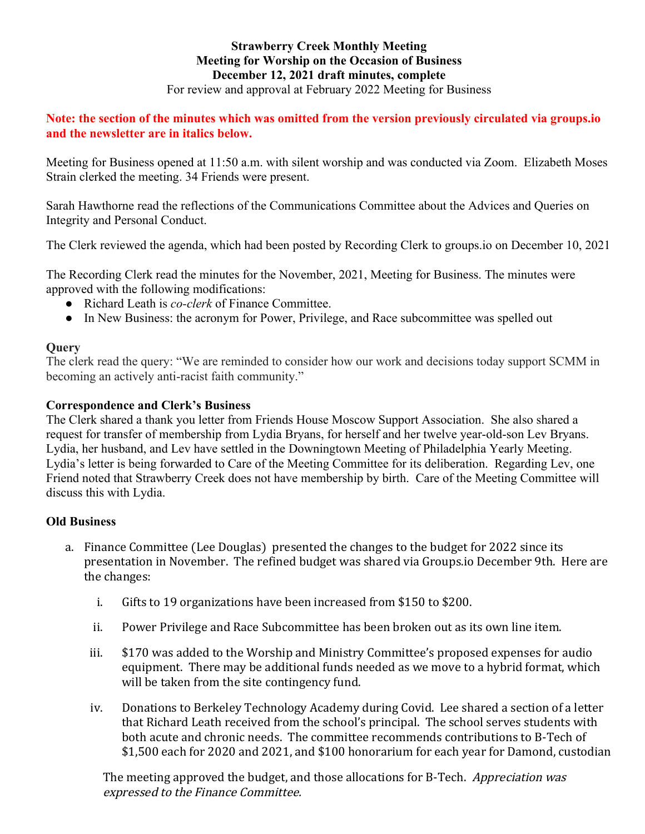#### **Strawberry Creek Monthly Meeting Meeting for Worship on the Occasion of Business December 12, 2021 draft minutes, complete** For review and approval at February 2022 Meeting for Business

## **Note: the section of the minutes which was omitted from the version previously circulated via groups.io and the newsletter are in italics below.**

Meeting for Business opened at 11:50 a.m. with silent worship and was conducted via Zoom. Elizabeth Moses Strain clerked the meeting. 34 Friends were present.

Sarah Hawthorne read the reflections of the Communications Committee about the Advices and Queries on Integrity and Personal Conduct.

The Clerk reviewed the agenda, which had been posted by Recording Clerk to groups.io on December 10, 2021

The Recording Clerk read the minutes for the November, 2021, Meeting for Business. The minutes were approved with the following modifications:

- Richard Leath is *co-clerk* of Finance Committee.
- In New Business: the acronym for Power, Privilege, and Race subcommittee was spelled out

## **Query**

The clerk read the query: "We are reminded to consider how our work and decisions today support SCMM in becoming an actively anti-racist faith community."

## **Correspondence and Clerk's Business**

The Clerk shared a thank you letter from Friends House Moscow Support Association. She also shared a request for transfer of membership from Lydia Bryans, for herself and her twelve year-old-son Lev Bryans. Lydia, her husband, and Lev have settled in the Downingtown Meeting of Philadelphia Yearly Meeting. Lydia's letter is being forwarded to Care of the Meeting Committee for its deliberation. Regarding Lev, one Friend noted that Strawberry Creek does not have membership by birth. Care of the Meeting Committee will discuss this with Lydia.

## **Old Business**

- a. Finance Committee (Lee Douglas) presented the changes to the budget for 2022 since its presentation in November. The refined budget was shared via Groups.io December 9th. Here are the changes:
	- i. Gifts to 19 organizations have been increased from \$150 to \$200.
	- ii. Power Privilege and Race Subcommittee has been broken out as its own line item.
	- iii.  $$170$  was added to the Worship and Ministry Committee's proposed expenses for audio equipment. There may be additional funds needed as we move to a hybrid format, which will be taken from the site contingency fund.
	- iv. Donations to Berkeley Technology Academy during Covid. Lee shared a section of a letter that Richard Leath received from the school's principal. The school serves students with both acute and chronic needs. The committee recommends contributions to B-Tech of \$1,500 each for 2020 and 2021, and \$100 honorarium for each year for Damond, custodian

The meeting approved the budget, and those allocations for B-Tech. Appreciation was expressed to the Finance Committee.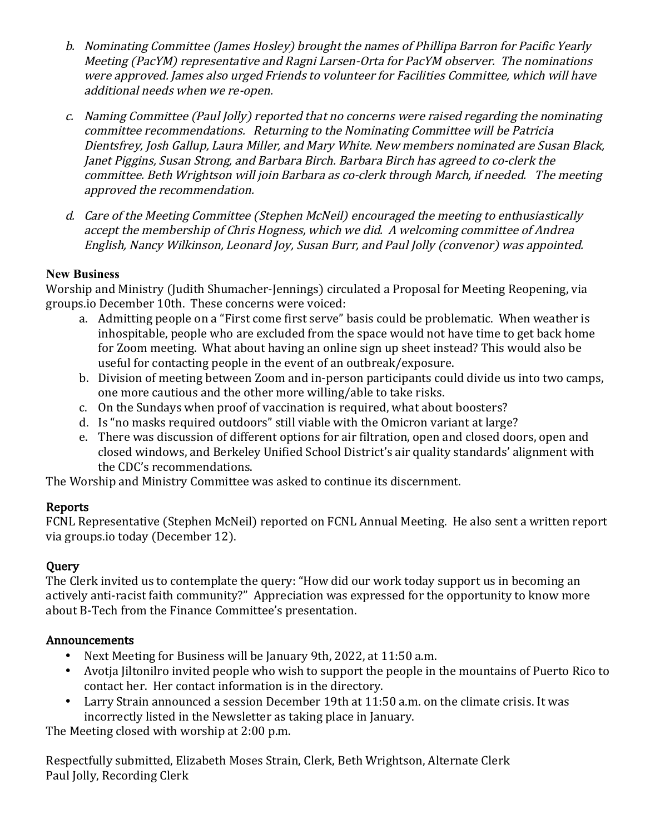- b. Nominating Committee (James Hosley) brought the names of Phillipa Barron for Pacific Yearly Meeting (PacYM) representative and Ragni Larsen-Orta for PacYM observer. The nominations were approved. James also urged Friends to volunteer for Facilities Committee, which will have additional needs when we re-open.
- c. Naming Committee (Paul Jolly) reported that no concerns were raised regarding the nominating committee recommendations. Returning to the Nominating Committee will be Patricia Dientsfrey, Josh Gallup, Laura Miller, and Mary White. New members nominated are Susan Black, Janet Piggins, Susan Strong, and Barbara Birch. Barbara Birch has agreed to co-clerk the committee. Beth Wrightson will join Barbara as co-clerk through March, if needed. The meeting approved the recommendation.
- d. Care of the Meeting Committee (Stephen McNeil) encouraged the meeting to enthusiastically accept the membership of Chris Hogness, which we did. A welcoming committee of Andrea English, Nancy Wilkinson, Leonard Joy, Susan Burr, and Paul Jolly (convenor) was appointed.

## **New Business**

Worship and Ministry (Judith Shumacher-Jennings) circulated a Proposal for Meeting Reopening, via groups.io December 10th. These concerns were voiced:

- a. Admitting people on a "First come first serve" basis could be problematic. When weather is inhospitable, people who are excluded from the space would not have time to get back home for Zoom meeting. What about having an online sign up sheet instead? This would also be useful for contacting people in the event of an outbreak/exposure.
- b. Division of meeting between Zoom and in-person participants could divide us into two camps, one more cautious and the other more willing/able to take risks.
- c. On the Sundays when proof of vaccination is required, what about boosters?
- d. Is "no masks required outdoors" still viable with the Omicron variant at large?
- e. There was discussion of different options for air filtration, open and closed doors, open and closed windows, and Berkeley Unified School District's air quality standards' alignment with the CDC's recommendations.

The Worship and Ministry Committee was asked to continue its discernment.

## Reports

FCNL Representative (Stephen McNeil) reported on FCNL Annual Meeting. He also sent a written report via groups.io today (December 12).

# **Query**

The Clerk invited us to contemplate the query: "How did our work today support us in becoming an actively anti-racist faith community?" Appreciation was expressed for the opportunity to know more about B-Tech from the Finance Committee's presentation.

## Announcements

- Next Meeting for Business will be January 9th, 2022, at 11:50 a.m.
- Avotja Jiltonilro invited people who wish to support the people in the mountains of Puerto Rico to contact her. Her contact information is in the directory.
- Larry Strain announced a session December 19th at 11:50 a.m. on the climate crisis. It was incorrectly listed in the Newsletter as taking place in January.

The Meeting closed with worship at 2:00 p.m.

Respectfully submitted, Elizabeth Moses Strain, Clerk, Beth Wrightson, Alternate Clerk Paul Jolly, Recording Clerk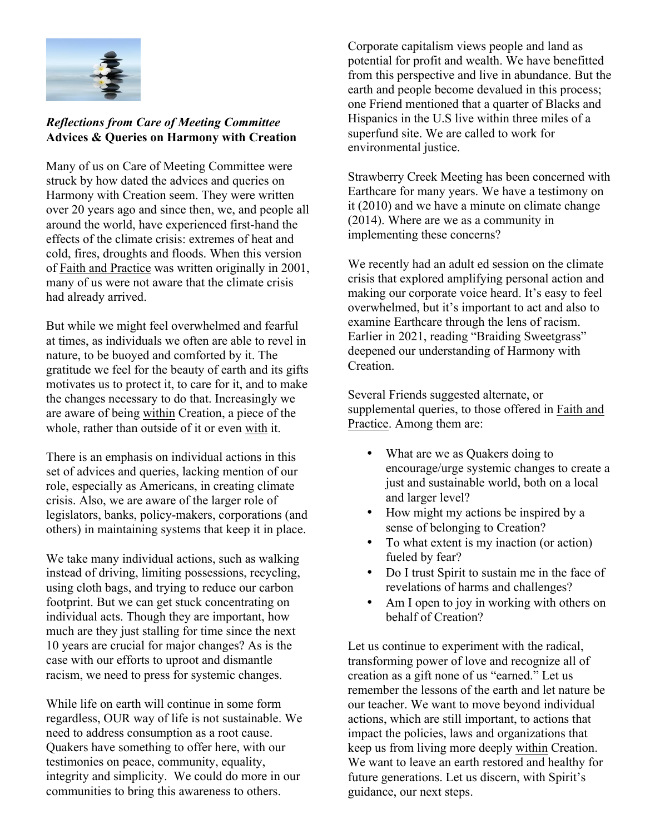

## *Reflections from Care of Meeting Committee* **Advices & Queries on Harmony with Creation**

Many of us on Care of Meeting Committee were struck by how dated the advices and queries on Harmony with Creation seem. They were written over 20 years ago and since then, we, and people all around the world, have experienced first-hand the effects of the climate crisis: extremes of heat and cold, fires, droughts and floods. When this version of Faith and Practice was written originally in 2001, many of us were not aware that the climate crisis had already arrived.

But while we might feel overwhelmed and fearful at times, as individuals we often are able to revel in nature, to be buoyed and comforted by it. The gratitude we feel for the beauty of earth and its gifts motivates us to protect it, to care for it, and to make the changes necessary to do that. Increasingly we are aware of being within Creation, a piece of the whole, rather than outside of it or even with it.

There is an emphasis on individual actions in this set of advices and queries, lacking mention of our role, especially as Americans, in creating climate crisis. Also, we are aware of the larger role of legislators, banks, policy-makers, corporations (and others) in maintaining systems that keep it in place.

We take many individual actions, such as walking instead of driving, limiting possessions, recycling, using cloth bags, and trying to reduce our carbon footprint. But we can get stuck concentrating on individual acts. Though they are important, how much are they just stalling for time since the next 10 years are crucial for major changes? As is the case with our efforts to uproot and dismantle racism, we need to press for systemic changes.

While life on earth will continue in some form regardless, OUR way of life is not sustainable. We need to address consumption as a root cause. Quakers have something to offer here, with our testimonies on peace, community, equality, integrity and simplicity. We could do more in our communities to bring this awareness to others.

Corporate capitalism views people and land as potential for profit and wealth. We have benefitted from this perspective and live in abundance. But the earth and people become devalued in this process; one Friend mentioned that a quarter of Blacks and Hispanics in the U.S live within three miles of a superfund site. We are called to work for environmental justice.

Strawberry Creek Meeting has been concerned with Earthcare for many years. We have a testimony on it (2010) and we have a minute on climate change (2014). Where are we as a community in implementing these concerns?

We recently had an adult ed session on the climate crisis that explored amplifying personal action and making our corporate voice heard. It's easy to feel overwhelmed, but it's important to act and also to examine Earthcare through the lens of racism. Earlier in 2021, reading "Braiding Sweetgrass" deepened our understanding of Harmony with Creation.

Several Friends suggested alternate, or supplemental queries, to those offered in Faith and Practice. Among them are:

- What are we as Quakers doing to encourage/urge systemic changes to create a just and sustainable world, both on a local and larger level?
- How might my actions be inspired by a sense of belonging to Creation?
- To what extent is my inaction (or action) fueled by fear?
- Do I trust Spirit to sustain me in the face of revelations of harms and challenges?
- Am I open to joy in working with others on behalf of Creation?

Let us continue to experiment with the radical, transforming power of love and recognize all of creation as a gift none of us "earned." Let us remember the lessons of the earth and let nature be our teacher. We want to move beyond individual actions, which are still important, to actions that impact the policies, laws and organizations that keep us from living more deeply within Creation. We want to leave an earth restored and healthy for future generations. Let us discern, with Spirit's guidance, our next steps.